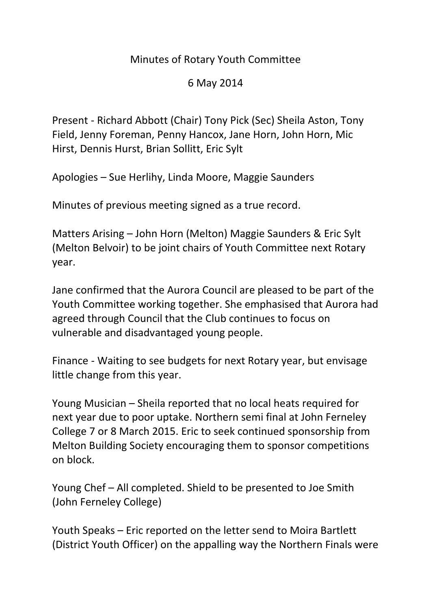## Minutes of Rotary Youth Committee

## 6 May 2014

Present - Richard Abbott (Chair) Tony Pick (Sec) Sheila Aston, Tony Field, Jenny Foreman, Penny Hancox, Jane Horn, John Horn, Mic Hirst, Dennis Hurst, Brian Sollitt, Eric Sylt

Apologies – Sue Herlihy, Linda Moore, Maggie Saunders

Minutes of previous meeting signed as a true record.

Matters Arising – John Horn (Melton) Maggie Saunders & Eric Sylt (Melton Belvoir) to be joint chairs of Youth Committee next Rotary year.

Jane confirmed that the Aurora Council are pleased to be part of the Youth Committee working together. She emphasised that Aurora had agreed through Council that the Club continues to focus on vulnerable and disadvantaged young people.

Finance - Waiting to see budgets for next Rotary year, but envisage little change from this year.

Young Musician – Sheila reported that no local heats required for next year due to poor uptake. Northern semi final at John Ferneley College 7 or 8 March 2015. Eric to seek continued sponsorship from Melton Building Society encouraging them to sponsor competitions on block.

Young Chef – All completed. Shield to be presented to Joe Smith (John Ferneley College)

Youth Speaks – Eric reported on the letter send to Moira Bartlett (District Youth Officer) on the appalling way the Northern Finals were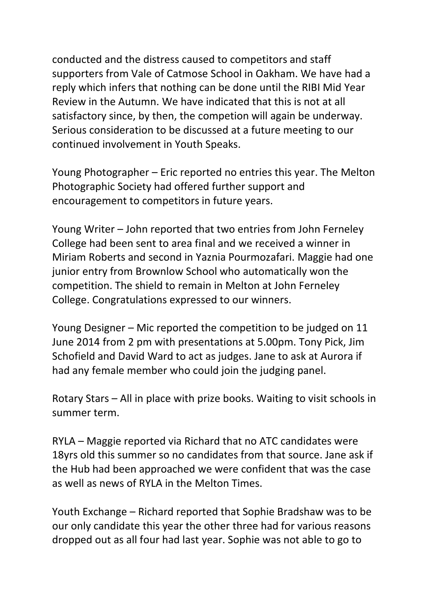conducted and the distress caused to competitors and staff supporters from Vale of Catmose School in Oakham. We have had a reply which infers that nothing can be done until the RIBI Mid Year Review in the Autumn. We have indicated that this is not at all satisfactory since, by then, the competion will again be underway. Serious consideration to be discussed at a future meeting to our continued involvement in Youth Speaks.

Young Photographer – Eric reported no entries this year. The Melton Photographic Society had offered further support and encouragement to competitors in future years.

Young Writer – John reported that two entries from John Ferneley College had been sent to area final and we received a winner in Miriam Roberts and second in Yaznia Pourmozafari. Maggie had one junior entry from Brownlow School who automatically won the competition. The shield to remain in Melton at John Ferneley College. Congratulations expressed to our winners.

Young Designer – Mic reported the competition to be judged on 11 June 2014 from 2 pm with presentations at 5.00pm. Tony Pick, Jim Schofield and David Ward to act as judges. Jane to ask at Aurora if had any female member who could join the judging panel.

Rotary Stars – All in place with prize books. Waiting to visit schools in summer term.

RYLA – Maggie reported via Richard that no ATC candidates were 18yrs old this summer so no candidates from that source. Jane ask if the Hub had been approached we were confident that was the case as well as news of RYLA in the Melton Times.

Youth Exchange – Richard reported that Sophie Bradshaw was to be our only candidate this year the other three had for various reasons dropped out as all four had last year. Sophie was not able to go to